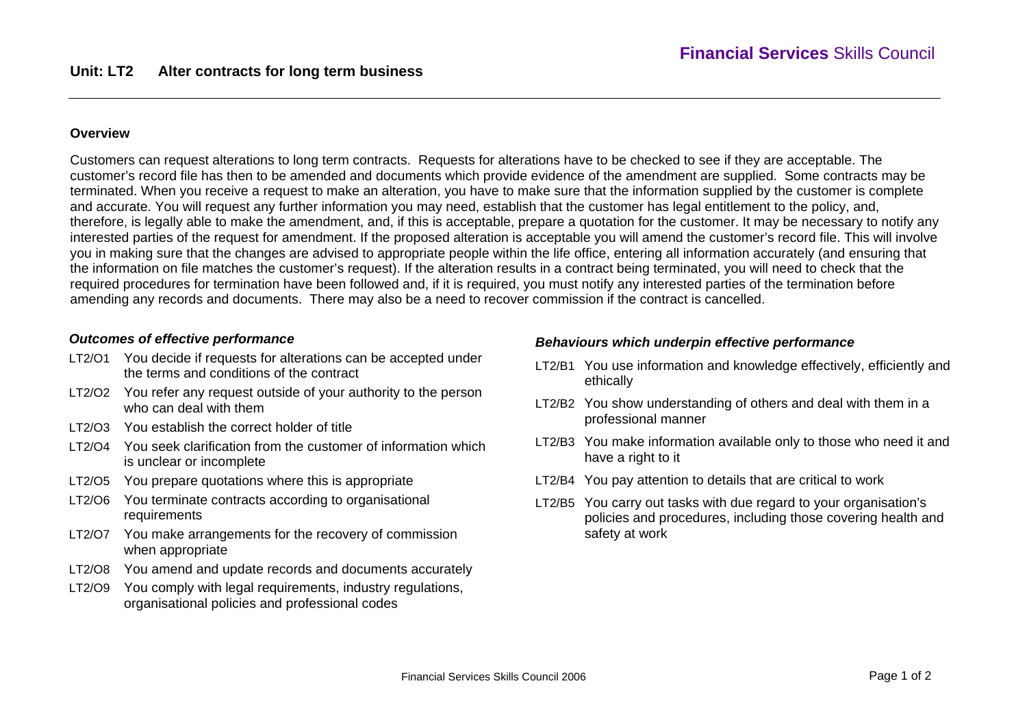#### **Overview**

Customers can request alterations to long term contracts. Requests for alterations have to be checked to see if they are acceptable. The customer's record file has then to be amended and documents which provide evidence of the amendment are supplied. Some contracts may be terminated. When you receive a request to make an alteration, you have to make sure that the information supplied by the customer is complete and accurate. You will request any further information you may need, establish that the customer has legal entitlement to the policy, and, therefore, is legally able to make the amendment, and, if this is acceptable, prepare a quotation for the customer. It may be necessary to notify any interested parties of the request for amendment. If the proposed alteration is acceptable you will amend the customer's record file. This will involve you in making sure that the changes are advised to appropriate people within the life office, entering all information accurately (and ensuring that the information on file matches the customer's request). If the alteration results in a contract being terminated, you will need to check that the required procedures for termination have been followed and, if it is required, you must notify any interested parties of the termination before amending any records and documents. There may also be a need to recover commission if the contract is cancelled.

### *Outcomes of effective performance*

- LT2/O1 You decide if requests for alterations can be accepted under the terms and conditions of the contract
- LT2/O2 You refer any request outside of your authority to the person who can deal with them
- LT2/O3 You establish the correct holder of title
- LT2/O4 You seek clarification from the customer of information which is unclear or incomplete
- LT2/O5 You prepare quotations where this is appropriate
- LT2/O6 You terminate contracts according to organisational requirements
- LT2/O7 You make arrangements for the recovery of commission when appropriate
- LT2/O8 You amend and update records and documents accurately
- LT2/O9 You comply with legal requirements, industry regulations, organisational policies and professional codes

### *Behaviours which underpin effective performance*

- LT2/B1 You use information and knowledge effectively, efficiently and ethically
- LT2/B2 You show understanding of others and deal with them in a professional manner
- LT2/B3 You make information available only to those who need it and have a right to it
- LT2/B4 You pay attention to details that are critical to work
- LT2/B5 You carry out tasks with due regard to your organisation's policies and procedures, including those covering health and safety at work